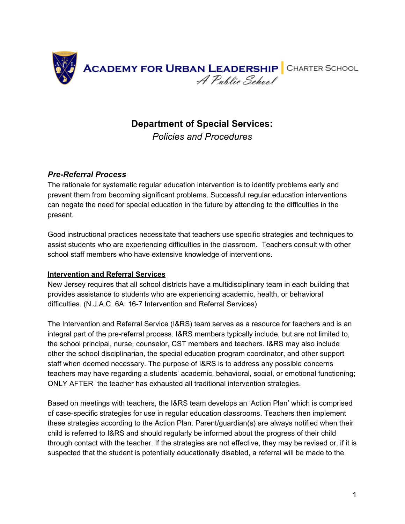

# **Department of Special Services:**

*Policies and Procedures*

# *Pre-Referral Process*

The rationale for systematic regular education intervention is to identify problems early and prevent them from becoming significant problems. Successful regular education interventions can negate the need for special education in the future by attending to the difficulties in the present.

Good instructional practices necessitate that teachers use specific strategies and techniques to assist students who are experiencing difficulties in the classroom. Teachers consult with other school staff members who have extensive knowledge of interventions.

## **Intervention and Referral Services**

New Jersey requires that all school districts have a multidisciplinary team in each building that provides assistance to students who are experiencing academic, health, or behavioral difficulties. (N.J.A.C. 6A: 16-7 Intervention and Referral Services)

The Intervention and Referral Service (I&RS) team serves as a resource for teachers and is an integral part of the pre-referral process. I&RS members typically include, but are not limited to, the school principal, nurse, counselor, CST members and teachers. I&RS may also include other the school disciplinarian, the special education program coordinator, and other support staff when deemed necessary. The purpose of I&RS is to address any possible concerns teachers may have regarding a students' academic, behavioral, social, or emotional functioning; ONLY AFTER the teacher has exhausted all traditional intervention strategies.

Based on meetings with teachers, the I&RS team develops an 'Action Plan' which is comprised of case-specific strategies for use in regular education classrooms. Teachers then implement these strategies according to the Action Plan. Parent/guardian(s) are always notified when their child is referred to I&RS and should regularly be informed about the progress of their child through contact with the teacher. If the strategies are not effective, they may be revised or, if it is suspected that the student is potentially educationally disabled, a referral will be made to the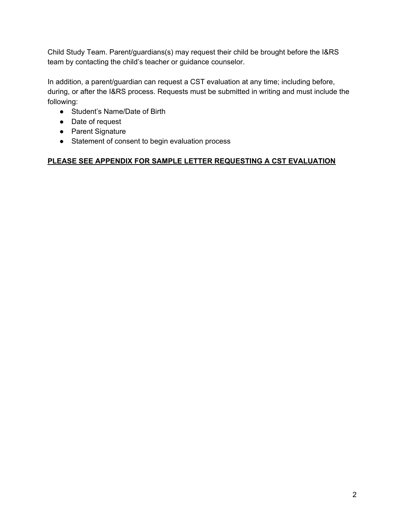Child Study Team. Parent/guardians(s) may request their child be brought before the I&RS team by contacting the child's teacher or guidance counselor.

In addition, a parent/guardian can request a CST evaluation at any time; including before, during, or after the I&RS process. Requests must be submitted in writing and must include the following:

- Student's Name/Date of Birth
- Date of request
- Parent Signature
- Statement of consent to begin evaluation process

# **PLEASE SEE APPENDIX FOR SAMPLE LETTER REQUESTING A CST EVALUATION**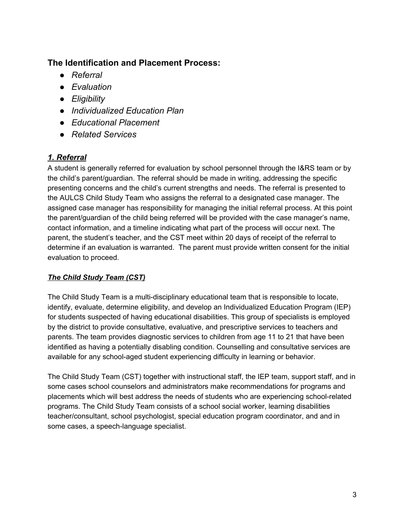# **The Identification and Placement Process:**

- *● Referral*
- *● Evaluation*
- *● Eligibility*
- *● Individualized Education Plan*
- *● Educational Placement*
- *Related Services*

# *1. Referral*

A student is generally referred for evaluation by school personnel through the I&RS team or by the child's parent/guardian. The referral should be made in writing, addressing the specific presenting concerns and the child's current strengths and needs. The referral is presented to the AULCS Child Study Team who assigns the referral to a designated case manager. The assigned case manager has responsibility for managing the initial referral process. At this point the parent/guardian of the child being referred will be provided with the case manager's name, contact information, and a timeline indicating what part of the process will occur next. The parent, the student's teacher, and the CST meet within 20 days of receipt of the referral to determine if an evaluation is warranted. The parent must provide written consent for the initial evaluation to proceed.

# *The Child Study Team (CST)*

The Child Study Team is a multi-disciplinary educational team that is responsible to locate, identify, evaluate, determine eligibility, and develop an Individualized Education Program (IEP) for students suspected of having educational disabilities. This group of specialists is employed by the district to provide consultative, evaluative, and prescriptive services to teachers and parents. The team provides diagnostic services to children from age 11 to 21 that have been identified as having a potentially disabling condition. Counselling and consultative services are available for any school-aged student experiencing difficulty in learning or behavior.

The Child Study Team (CST) together with instructional staff, the IEP team, support staff, and in some cases school counselors and administrators make recommendations for programs and placements which will best address the needs of students who are experiencing school-related programs. The Child Study Team consists of a school social worker, learning disabilities teacher/consultant, school psychologist, special education program coordinator, and and in some cases, a speech-language specialist.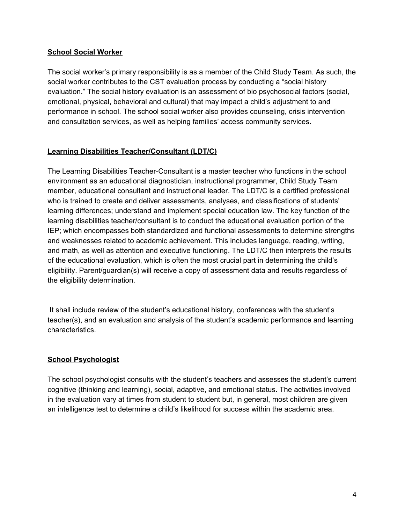## **School Social Worker**

The social worker's primary responsibility is as a member of the Child Study Team. As such, the social worker contributes to the CST evaluation process by conducting a "social history evaluation." The social history evaluation is an assessment of bio psychosocial factors (social, emotional, physical, behavioral and cultural) that may impact a child's adjustment to and performance in school. The school social worker also provides counseling, crisis intervention and consultation services, as well as helping families' access community services.

# **Learning Disabilities Teacher/Consultant (LDT/C)**

The Learning Disabilities Teacher-Consultant is a master teacher who functions in the school environment as an educational diagnostician, instructional programmer, Child Study Team member, educational consultant and instructional leader. The LDT/C is a certified professional who is trained to create and deliver assessments, analyses, and classifications of students' learning differences; understand and implement special education law. The key function of the learning disabilities teacher/consultant is to conduct the educational evaluation portion of the IEP; which encompasses both standardized and functional assessments to determine strengths and weaknesses related to academic achievement. This includes language, reading, writing, and math, as well as attention and executive functioning. The LDT/C then interprets the results of the educational evaluation, which is often the most crucial part in determining the child's eligibility. Parent/guardian(s) will receive a copy of assessment data and results regardless of the eligibility determination.

It shall include review of the student's educational history, conferences with the student's teacher(s), and an evaluation and analysis of the student's academic performance and learning characteristics.

## **School Psychologist**

The school psychologist consults with the student's teachers and assesses the student's current cognitive (thinking and learning), social, adaptive, and emotional status. The activities involved in the evaluation vary at times from student to student but, in general, most children are given an intelligence test to determine a child's likelihood for success within the academic area.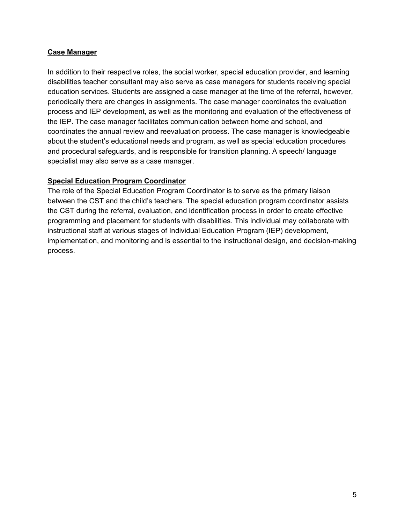#### **Case Manager**

In addition to their respective roles, the social worker, special education provider, and learning disabilities teacher consultant may also serve as case managers for students receiving special education services. Students are assigned a case manager at the time of the referral, however, periodically there are changes in assignments. The case manager coordinates the evaluation process and IEP development, as well as the monitoring and evaluation of the effectiveness of the IEP. The case manager facilitates communication between home and school, and coordinates the annual review and reevaluation process. The case manager is knowledgeable about the student's educational needs and program, as well as special education procedures and procedural safeguards, and is responsible for transition planning. A speech/ language specialist may also serve as a case manager.

#### **Special Education Program Coordinator**

The role of the Special Education Program Coordinator is to serve as the primary liaison between the CST and the child's teachers. The special education program coordinator assists the CST during the referral, evaluation, and identification process in order to create effective programming and placement for students with disabilities. This individual may collaborate with instructional staff at various stages of Individual Education Program (IEP) development, implementation, and monitoring and is essential to the instructional design, and decision-making process.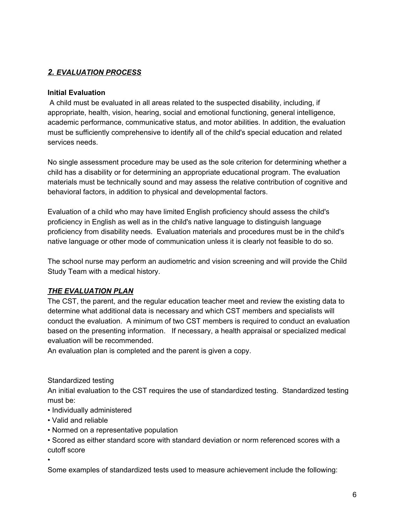# *2. EVALUATION PROCESS*

#### **Initial Evaluation**

A child must be evaluated in all areas related to the suspected disability, including, if appropriate, health, vision, hearing, social and emotional functioning, general intelligence, academic performance, communicative status, and motor abilities. In addition, the evaluation must be sufficiently comprehensive to identify all of the child's special education and related services needs.

No single assessment procedure may be used as the sole criterion for determining whether a child has a disability or for determining an appropriate educational program. The evaluation materials must be technically sound and may assess the relative contribution of cognitive and behavioral factors, in addition to physical and developmental factors.

Evaluation of a child who may have limited English proficiency should assess the child's proficiency in English as well as in the child's native language to distinguish language proficiency from disability needs. Evaluation materials and procedures must be in the child's native language or other mode of communication unless it is clearly not feasible to do so.

The school nurse may perform an audiometric and vision screening and will provide the Child Study Team with a medical history.

## *THE EVALUATION PLAN*

The CST, the parent, and the regular education teacher meet and review the existing data to determine what additional data is necessary and which CST members and specialists will conduct the evaluation. A minimum of two CST members is required to conduct an evaluation based on the presenting information. If necessary, a health appraisal or specialized medical evaluation will be recommended.

An evaluation plan is completed and the parent is given a copy.

Standardized testing

An initial evaluation to the CST requires the use of standardized testing. Standardized testing must be:

- Individually administered
- Valid and reliable
- Normed on a representative population
- Scored as either standard score with standard deviation or norm referenced scores with a cutoff score

•

Some examples of standardized tests used to measure achievement include the following: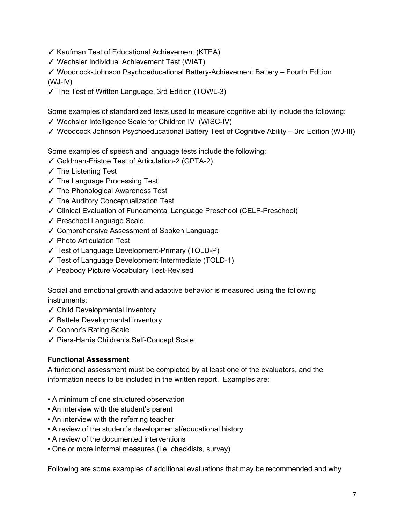- ✓ Kaufman Test of Educational Achievement (KTEA)
- ✓ Wechsler Individual Achievement Test (WIAT)

✓ Woodcock-Johnson Psychoeducational Battery-Achievement Battery – Fourth Edition (WJ-IV)

✓ The Test of Written Language, 3rd Edition (TOWL-3)

Some examples of standardized tests used to measure cognitive ability include the following:

- ✓ Wechsler Intelligence Scale for Children IV (WISC-IV)
- ✓ Woodcock Johnson Psychoeducational Battery Test of Cognitive Ability 3rd Edition (WJ-III)

Some examples of speech and language tests include the following:

- ✓ Goldman-Fristoe Test of Articulation-2 (GPTA-2)
- ✓ The Listening Test
- ✓ The Language Processing Test
- ✓ The Phonological Awareness Test
- ✓ The Auditory Conceptualization Test
- ✓ Clinical Evaluation of Fundamental Language Preschool (CELF-Preschool)
- ✓ Preschool Language Scale
- ✓ Comprehensive Assessment of Spoken Language
- ✓ Photo Articulation Test
- ✓ Test of Language Development-Primary (TOLD-P)
- ✓ Test of Language Development-Intermediate (TOLD-1)
- ✓ Peabody Picture Vocabulary Test-Revised

Social and emotional growth and adaptive behavior is measured using the following instruments:

- ✓ Child Developmental Inventory
- ✓ Battele Developmental Inventory
- ✓ Connor's Rating Scale
- ✓ Piers-Harris Children's Self-Concept Scale

# **Functional Assessment**

A functional assessment must be completed by at least one of the evaluators, and the information needs to be included in the written report. Examples are:

- A minimum of one structured observation
- An interview with the student's parent
- An interview with the referring teacher
- A review of the student's developmental/educational history
- A review of the documented interventions
- One or more informal measures (i.e. checklists, survey)

Following are some examples of additional evaluations that may be recommended and why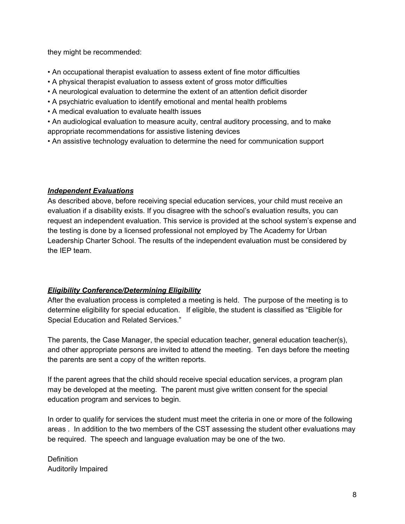they might be recommended:

- An occupational therapist evaluation to assess extent of fine motor difficulties
- A physical therapist evaluation to assess extent of gross motor difficulties
- A neurological evaluation to determine the extent of an attention deficit disorder
- A psychiatric evaluation to identify emotional and mental health problems
- A medical evaluation to evaluate health issues
- An audiological evaluation to measure acuity, central auditory processing, and to make appropriate recommendations for assistive listening devices
- An assistive technology evaluation to determine the need for communication support

## *Independent Evaluations*

As described above, before receiving special education services, your child must receive an evaluation if a disability exists. If you disagree with the school's evaluation results, you can request an independent evaluation. This service is provided at the school system's expense and the testing is done by a licensed professional not employed by The Academy for Urban Leadership Charter School. The results of the independent evaluation must be considered by the IEP team.

## *Eligibility Conference/Determining Eligibility*

After the evaluation process is completed a meeting is held. The purpose of the meeting is to determine eligibility for special education. If eligible, the student is classified as "Eligible for Special Education and Related Services."

The parents, the Case Manager, the special education teacher, general education teacher(s), and other appropriate persons are invited to attend the meeting. Ten days before the meeting the parents are sent a copy of the written reports.

If the parent agrees that the child should receive special education services, a program plan may be developed at the meeting. The parent must give written consent for the special education program and services to begin.

In order to qualify for services the student must meet the criteria in one or more of the following areas . In addition to the two members of the CST assessing the student other evaluations may be required. The speech and language evaluation may be one of the two.

**Definition** Auditorily Impaired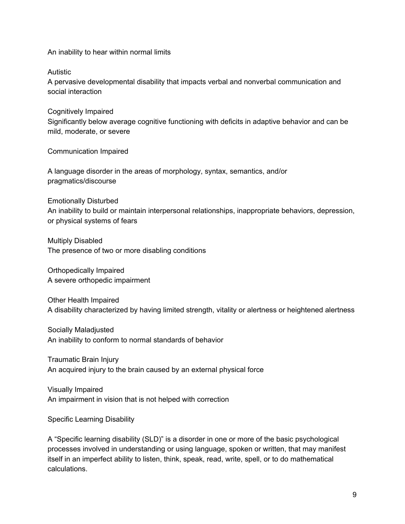An inability to hear within normal limits

Autistic

A pervasive developmental disability that impacts verbal and nonverbal communication and social interaction

Cognitively Impaired Significantly below average cognitive functioning with deficits in adaptive behavior and can be mild, moderate, or severe

Communication Impaired

A language disorder in the areas of morphology, syntax, semantics, and/or pragmatics/discourse

Emotionally Disturbed

An inability to build or maintain interpersonal relationships, inappropriate behaviors, depression, or physical systems of fears

Multiply Disabled The presence of two or more disabling conditions

Orthopedically Impaired A severe orthopedic impairment

Other Health Impaired A disability characterized by having limited strength, vitality or alertness or heightened alertness

Socially Maladjusted An inability to conform to normal standards of behavior

Traumatic Brain Injury An acquired injury to the brain caused by an external physical force

Visually Impaired An impairment in vision that is not helped with correction

Specific Learning Disability

A "Specific learning disability (SLD)" is a disorder in one or more of the basic psychological processes involved in understanding or using language, spoken or written, that may manifest itself in an imperfect ability to listen, think, speak, read, write, spell, or to do mathematical calculations.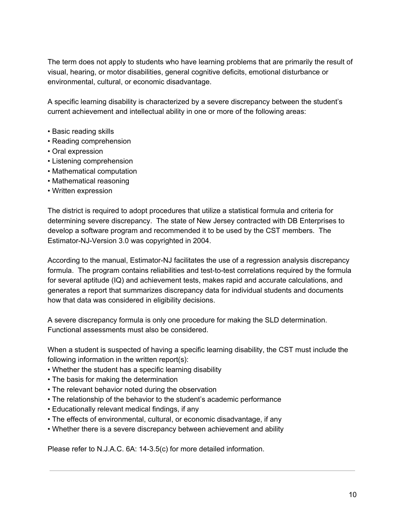The term does not apply to students who have learning problems that are primarily the result of visual, hearing, or motor disabilities, general cognitive deficits, emotional disturbance or environmental, cultural, or economic disadvantage.

A specific learning disability is characterized by a severe discrepancy between the student's current achievement and intellectual ability in one or more of the following areas:

- Basic reading skills
- Reading comprehension
- Oral expression
- Listening comprehension
- Mathematical computation
- Mathematical reasoning
- Written expression

The district is required to adopt procedures that utilize a statistical formula and criteria for determining severe discrepancy. The state of New Jersey contracted with DB Enterprises to develop a software program and recommended it to be used by the CST members. The Estimator-NJ-Version 3.0 was copyrighted in 2004.

According to the manual, Estimator-NJ facilitates the use of a regression analysis discrepancy formula. The program contains reliabilities and test-to-test correlations required by the formula for several aptitude (IQ) and achievement tests, makes rapid and accurate calculations, and generates a report that summarizes discrepancy data for individual students and documents how that data was considered in eligibility decisions.

A severe discrepancy formula is only one procedure for making the SLD determination. Functional assessments must also be considered.

When a student is suspected of having a specific learning disability, the CST must include the following information in the written report(s):

- Whether the student has a specific learning disability
- The basis for making the determination
- The relevant behavior noted during the observation
- The relationship of the behavior to the student's academic performance
- Educationally relevant medical findings, if any
- The effects of environmental, cultural, or economic disadvantage, if any
- Whether there is a severe discrepancy between achievement and ability

Please refer to N.J.A.C. 6A: 14-3.5(c) for more detailed information.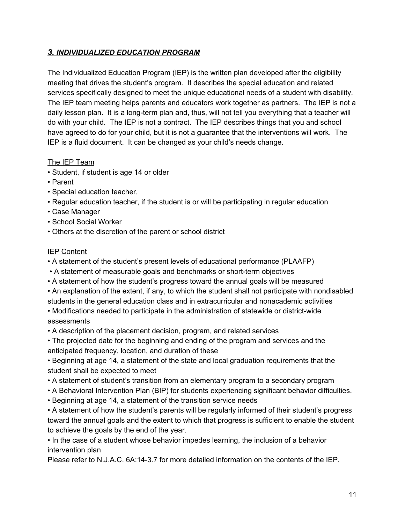# *3. INDIVIDUALIZED EDUCATION PROGRAM*

The Individualized Education Program (IEP) is the written plan developed after the eligibility meeting that drives the student's program. It describes the special education and related services specifically designed to meet the unique educational needs of a student with disability. The IEP team meeting helps parents and educators work together as partners. The IEP is not a daily lesson plan. It is a long-term plan and, thus, will not tell you everything that a teacher will do with your child. The IEP is not a contract. The IEP describes things that you and school have agreed to do for your child, but it is not a guarantee that the interventions will work. The IEP is a fluid document. It can be changed as your child's needs change.

## The IEP Team

- Student, if student is age 14 or older
- Parent
- Special education teacher,
- Regular education teacher, if the student is or will be participating in regular education
- Case Manager
- School Social Worker
- Others at the discretion of the parent or school district

#### IEP Content

- A statement of the student's present levels of educational performance (PLAAFP)
- A statement of measurable goals and benchmarks or short-term objectives
- A statement of how the student's progress toward the annual goals will be measured
- An explanation of the extent, if any, to which the student shall not participate with nondisabled students in the general education class and in extracurricular and nonacademic activities

• Modifications needed to participate in the administration of statewide or district-wide assessments

- A description of the placement decision, program, and related services
- The projected date for the beginning and ending of the program and services and the anticipated frequency, location, and duration of these

• Beginning at age 14, a statement of the state and local graduation requirements that the student shall be expected to meet

- A statement of student's transition from an elementary program to a secondary program
- A Behavioral Intervention Plan (BIP) for students experiencing significant behavior difficulties.
- Beginning at age 14, a statement of the transition service needs

• A statement of how the student's parents will be regularly informed of their student's progress toward the annual goals and the extent to which that progress is sufficient to enable the student to achieve the goals by the end of the year.

• In the case of a student whose behavior impedes learning, the inclusion of a behavior intervention plan

Please refer to N.J.A.C. 6A:14-3.7 for more detailed information on the contents of the IEP.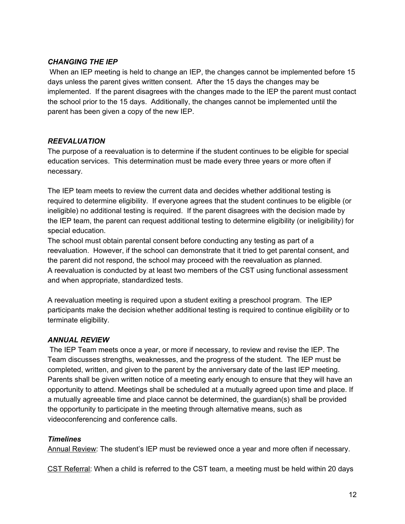## *CHANGING THE IEP*

When an IEP meeting is held to change an IEP, the changes cannot be implemented before 15 days unless the parent gives written consent. After the 15 days the changes may be implemented. If the parent disagrees with the changes made to the IEP the parent must contact the school prior to the 15 days. Additionally, the changes cannot be implemented until the parent has been given a copy of the new IEP.

#### *REEVALUATION*

The purpose of a reevaluation is to determine if the student continues to be eligible for special education services. This determination must be made every three years or more often if necessary.

The IEP team meets to review the current data and decides whether additional testing is required to determine eligibility. If everyone agrees that the student continues to be eligible (or ineligible) no additional testing is required. If the parent disagrees with the decision made by the IEP team, the parent can request additional testing to determine eligibility (or ineligibility) for special education.

The school must obtain parental consent before conducting any testing as part of a reevaluation. However, if the school can demonstrate that it tried to get parental consent, and the parent did not respond, the school may proceed with the reevaluation as planned. A reevaluation is conducted by at least two members of the CST using functional assessment and when appropriate, standardized tests.

A reevaluation meeting is required upon a student exiting a preschool program. The IEP participants make the decision whether additional testing is required to continue eligibility or to terminate eligibility.

## *ANNUAL REVIEW*

The IEP Team meets once a year, or more if necessary, to review and revise the IEP. The Team discusses strengths, weaknesses, and the progress of the student. The IEP must be completed, written, and given to the parent by the anniversary date of the last IEP meeting. Parents shall be given written notice of a meeting early enough to ensure that they will have an opportunity to attend. Meetings shall be scheduled at a mutually agreed upon time and place. If a mutually agreeable time and place cannot be determined, the guardian(s) shall be provided the opportunity to participate in the meeting through alternative means, such as videoconferencing and conference calls.

#### *Timelines*

Annual Review: The student's IEP must be reviewed once a year and more often if necessary.

CST Referral: When a child is referred to the CST team, a meeting must be held within 20 days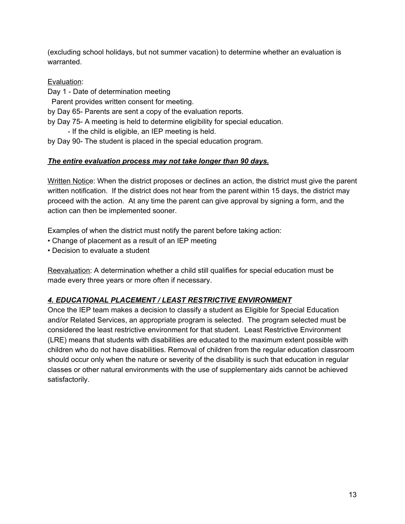(excluding school holidays, but not summer vacation) to determine whether an evaluation is warranted.

Evaluation:

Day 1 - Date of determination meeting

Parent provides written consent for meeting.

by Day 65- Parents are sent a copy of the evaluation reports.

- by Day 75- A meeting is held to determine eligibility for special education.
	- If the child is eligible, an IEP meeting is held.

# by Day 90- The student is placed in the special education program.

# *The entire evaluation process may not take longer than 90 days.*

Written Notice: When the district proposes or declines an action, the district must give the parent written notification. If the district does not hear from the parent within 15 days, the district may proceed with the action. At any time the parent can give approval by signing a form, and the action can then be implemented sooner.

Examples of when the district must notify the parent before taking action:

- Change of placement as a result of an IEP meeting
- Decision to evaluate a student

Reevaluation: A determination whether a child still qualifies for special education must be made every three years or more often if necessary.

# *4. EDUCATIONAL PLACEMENT / LEAST RESTRICTIVE ENVIRONMENT*

Once the IEP team makes a decision to classify a student as Eligible for Special Education and/or Related Services, an appropriate program is selected. The program selected must be considered the least restrictive environment for that student. Least Restrictive Environment (LRE) means that students with disabilities are educated to the maximum extent possible with children who do not have disabilities. Removal of children from the regular education classroom should occur only when the nature or severity of the disability is such that education in regular classes or other natural environments with the use of supplementary aids cannot be achieved satisfactorily.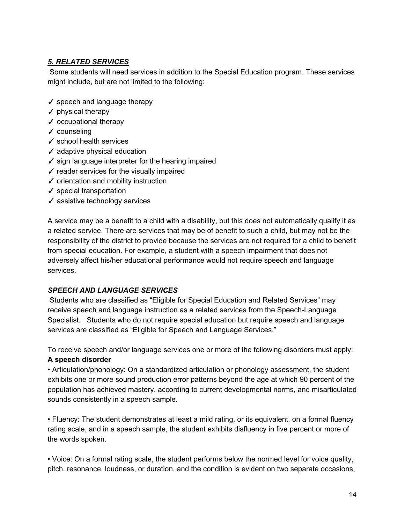# *5. RELATED SERVICES*

Some students will need services in addition to the Special Education program. These services might include, but are not limited to the following:

- ✓ speech and language therapy
- $\checkmark$  physical therapy
- ✓ occupational therapy
- ✓ counseling
- ✓ school health services
- $\checkmark$  adaptive physical education
- $\checkmark$  sign language interpreter for the hearing impaired
- ✓ reader services for the visually impaired
- ✓ orientation and mobility instruction
- $\checkmark$  special transportation
- ✓ assistive technology services

A service may be a benefit to a child with a disability, but this does not automatically qualify it as a related service. There are services that may be of benefit to such a child, but may not be the responsibility of the district to provide because the services are not required for a child to benefit from special education. For example, a student with a speech impairment that does not adversely affect his/her educational performance would not require speech and language services.

## *SPEECH AND LANGUAGE SERVICES*

Students who are classified as "Eligible for Special Education and Related Services" may receive speech and language instruction as a related services from the Speech-Language Specialist. Students who do not require special education but require speech and language services are classified as "Eligible for Speech and Language Services."

To receive speech and/or language services one or more of the following disorders must apply: **A speech disorder**

• Articulation/phonology: On a standardized articulation or phonology assessment, the student exhibits one or more sound production error patterns beyond the age at which 90 percent of the population has achieved mastery, according to current developmental norms, and misarticulated sounds consistently in a speech sample.

• Fluency: The student demonstrates at least a mild rating, or its equivalent, on a formal fluency rating scale, and in a speech sample, the student exhibits disfluency in five percent or more of the words spoken.

• Voice: On a formal rating scale, the student performs below the normed level for voice quality, pitch, resonance, loudness, or duration, and the condition is evident on two separate occasions,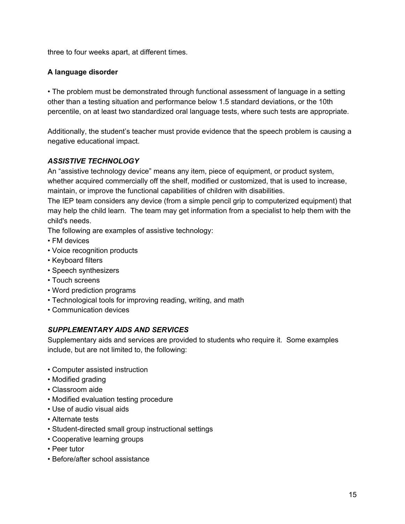three to four weeks apart, at different times.

## **A language disorder**

• The problem must be demonstrated through functional assessment of language in a setting other than a testing situation and performance below 1.5 standard deviations, or the 10th percentile, on at least two standardized oral language tests, where such tests are appropriate.

Additionally, the student's teacher must provide evidence that the speech problem is causing a negative educational impact.

# *ASSISTIVE TECHNOLOGY*

An "assistive technology device" means any item, piece of equipment, or product system, whether acquired commercially off the shelf, modified or customized, that is used to increase, maintain, or improve the functional capabilities of children with disabilities.

The IEP team considers any device (from a simple pencil grip to computerized equipment) that may help the child learn. The team may get information from a specialist to help them with the child's needs.

The following are examples of assistive technology:

- FM devices
- Voice recognition products
- Keyboard filters
- Speech synthesizers
- Touch screens
- Word prediction programs
- Technological tools for improving reading, writing, and math
- Communication devices

# *SUPPLEMENTARY AIDS AND SERVICES*

Supplementary aids and services are provided to students who require it. Some examples include, but are not limited to, the following:

- Computer assisted instruction
- Modified grading
- Classroom aide
- Modified evaluation testing procedure
- Use of audio visual aids
- Alternate tests
- Student-directed small group instructional settings
- Cooperative learning groups
- Peer tutor
- Before/after school assistance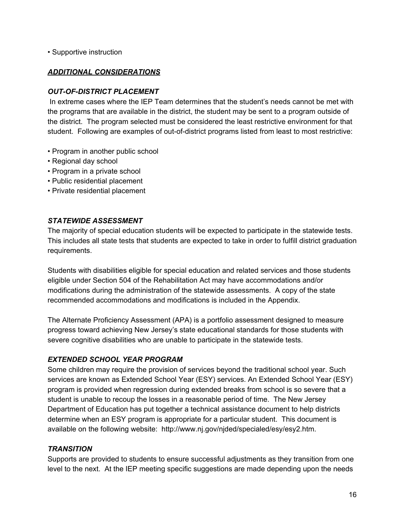• Supportive instruction

#### *ADDITIONAL CONSIDERATIONS*

#### *OUT-OF-DISTRICT PLACEMENT*

In extreme cases where the IEP Team determines that the student's needs cannot be met with the programs that are available in the district, the student may be sent to a program outside of the district. The program selected must be considered the least restrictive environment for that student. Following are examples of out-of-district programs listed from least to most restrictive:

- Program in another public school
- Regional day school
- Program in a private school
- Public residential placement
- Private residential placement

#### *STATEWIDE ASSESSMENT*

The majority of special education students will be expected to participate in the statewide tests. This includes all state tests that students are expected to take in order to fulfill district graduation requirements.

Students with disabilities eligible for special education and related services and those students eligible under Section 504 of the Rehabilitation Act may have accommodations and/or modifications during the administration of the statewide assessments. A copy of the state recommended accommodations and modifications is included in the Appendix.

The Alternate Proficiency Assessment (APA) is a portfolio assessment designed to measure progress toward achieving New Jersey's state educational standards for those students with severe cognitive disabilities who are unable to participate in the statewide tests.

## *EXTENDED SCHOOL YEAR PROGRAM*

Some children may require the provision of services beyond the traditional school year. Such services are known as Extended School Year (ESY) services. An Extended School Year (ESY) program is provided when regression during extended breaks from school is so severe that a student is unable to recoup the losses in a reasonable period of time. The New Jersey Department of Education has put together a technical assistance document to help districts determine when an ESY program is appropriate for a particular student. This document is available on the following website: http://www.nj.gov/njded/specialed/esy/esy2.htm.

#### *TRANSITION*

Supports are provided to students to ensure successful adjustments as they transition from one level to the next. At the IEP meeting specific suggestions are made depending upon the needs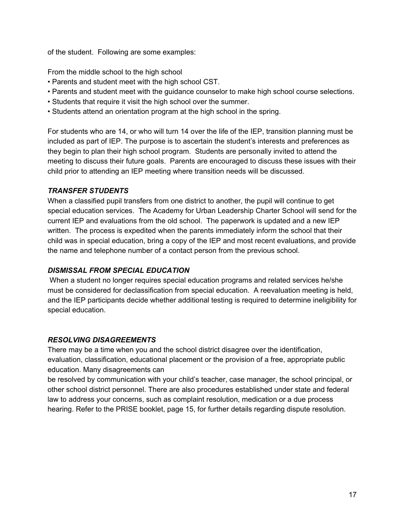of the student. Following are some examples:

From the middle school to the high school

- Parents and student meet with the high school CST.
- Parents and student meet with the guidance counselor to make high school course selections.
- Students that require it visit the high school over the summer.
- Students attend an orientation program at the high school in the spring.

For students who are 14, or who will turn 14 over the life of the IEP, transition planning must be included as part of IEP. The purpose is to ascertain the student's interests and preferences as they begin to plan their high school program. Students are personally invited to attend the meeting to discuss their future goals. Parents are encouraged to discuss these issues with their child prior to attending an IEP meeting where transition needs will be discussed.

# *TRANSFER STUDENTS*

When a classified pupil transfers from one district to another, the pupil will continue to get special education services. The Academy for Urban Leadership Charter School will send for the current IEP and evaluations from the old school. The paperwork is updated and a new IEP written. The process is expedited when the parents immediately inform the school that their child was in special education, bring a copy of the IEP and most recent evaluations, and provide the name and telephone number of a contact person from the previous school.

# *DISMISSAL FROM SPECIAL EDUCATION*

When a student no longer requires special education programs and related services he/she must be considered for declassification from special education. A reevaluation meeting is held, and the IEP participants decide whether additional testing is required to determine ineligibility for special education.

## *RESOLVING DISAGREEMENTS*

There may be a time when you and the school district disagree over the identification, evaluation, classification, educational placement or the provision of a free, appropriate public education. Many disagreements can

be resolved by communication with your child's teacher, case manager, the school principal, or other school district personnel. There are also procedures established under state and federal law to address your concerns, such as complaint resolution, medication or a due process hearing. Refer to the PRISE booklet, page 15, for further details regarding dispute resolution.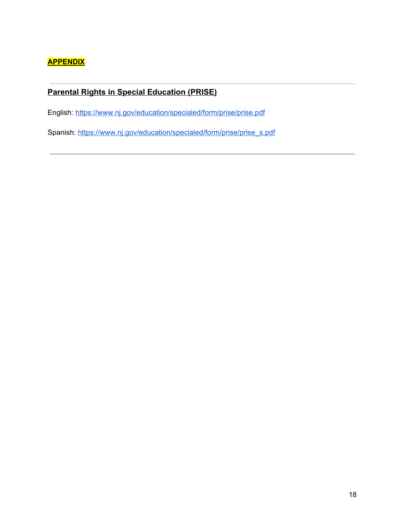# **APPENDIX**

# **Parental Rights in Special Education (PRISE)**

English: <https://www.nj.gov/education/specialed/form/prise/prise.pdf>

Spanish: [https://www.nj.gov/education/specialed/form/prise/prise\\_s.pdf](https://www.nj.gov/education/specialed/form/prise/prise_s.pdf)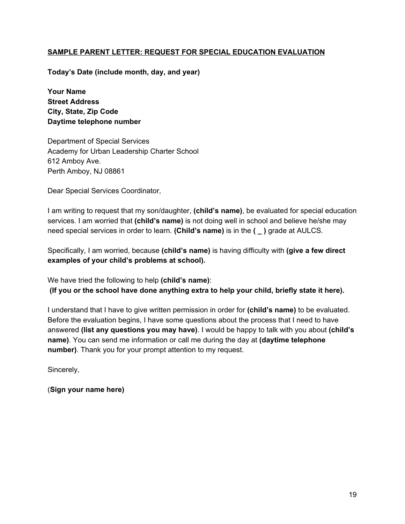### **SAMPLE PARENT LETTER: REQUEST FOR SPECIAL EDUCATION EVALUATION**

**Today's Date (include month, day, and year)**

**Your Name Street Address City, State, Zip Code Daytime telephone number**

Department of Special Services Academy for Urban Leadership Charter School 612 Amboy Ave. Perth Amboy, NJ 08861

Dear Special Services Coordinator,

I am writing to request that my son/daughter, **(child's name)**, be evaluated for special education services. I am worried that **(child's name)** is not doing well in school and believe he/she may need special services in order to learn. **(Child's name)** is in the **( \_ )** grade at AULCS.

Specifically, I am worried, because **(child's name)** is having difficulty with **(give a few direct examples of your child's problems at school).**

We have tried the following to help **(child's name)**:

**(If you or the school have done anything extra to help your child, briefly state it here).**

I understand that I have to give written permission in order for **(child's name)** to be evaluated. Before the evaluation begins, I have some questions about the process that I need to have answered **(list any questions you may have)**. I would be happy to talk with you about **(child's name)**. You can send me information or call me during the day at **(daytime telephone number)**. Thank you for your prompt attention to my request.

Sincerely,

(**Sign your name here)**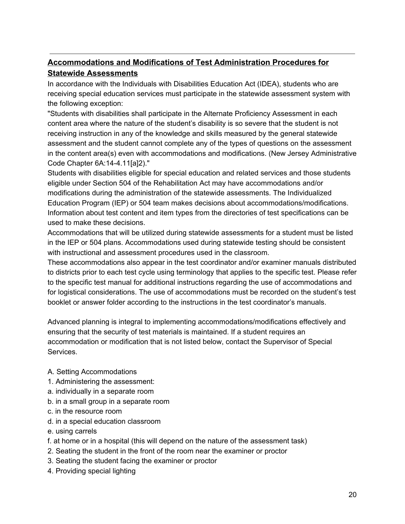# **Accommodations and Modifications of Test Administration Procedures for Statewide Assessments**

In accordance with the Individuals with Disabilities Education Act (IDEA), students who are receiving special education services must participate in the statewide assessment system with the following exception:

"Students with disabilities shall participate in the Alternate Proficiency Assessment in each content area where the nature of the student's disability is so severe that the student is not receiving instruction in any of the knowledge and skills measured by the general statewide assessment and the student cannot complete any of the types of questions on the assessment in the content area(s) even with accommodations and modifications. (New Jersey Administrative Code Chapter 6A:14-4.11[a]2)."

Students with disabilities eligible for special education and related services and those students eligible under Section 504 of the Rehabilitation Act may have accommodations and/or modifications during the administration of the statewide assessments. The Individualized Education Program (IEP) or 504 team makes decisions about accommodations/modifications. Information about test content and item types from the directories of test specifications can be used to make these decisions.

Accommodations that will be utilized during statewide assessments for a student must be listed in the IEP or 504 plans. Accommodations used during statewide testing should be consistent with instructional and assessment procedures used in the classroom.

These accommodations also appear in the test coordinator and/or examiner manuals distributed to districts prior to each test cycle using terminology that applies to the specific test. Please refer to the specific test manual for additional instructions regarding the use of accommodations and for logistical considerations. The use of accommodations must be recorded on the student's test booklet or answer folder according to the instructions in the test coordinator's manuals.

Advanced planning is integral to implementing accommodations/modifications effectively and ensuring that the security of test materials is maintained. If a student requires an accommodation or modification that is not listed below, contact the Supervisor of Special Services.

- A. Setting Accommodations
- 1. Administering the assessment:
- a. individually in a separate room
- b. in a small group in a separate room
- c. in the resource room
- d. in a special education classroom
- e. using carrels
- f. at home or in a hospital (this will depend on the nature of the assessment task)
- 2. Seating the student in the front of the room near the examiner or proctor
- 3. Seating the student facing the examiner or proctor
- 4. Providing special lighting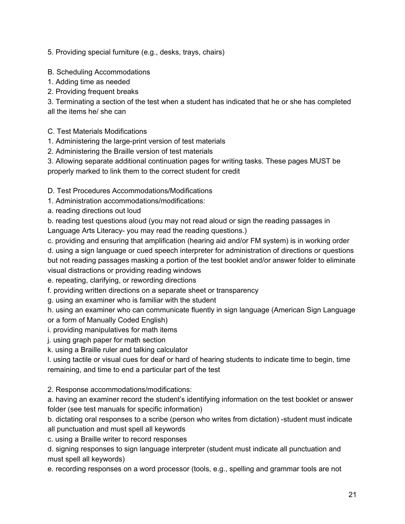5. Providing special furniture (e.g., desks, trays, chairs)

B. Scheduling Accommodations

- 1. Adding time as needed
- 2. Providing frequent breaks

3. Terminating a section of the test when a student has indicated that he or she has completed all the items he/ she can

- C. Test Materials Modifications
- 1. Administering the large-print version of test materials
- 2. Administering the Braille version of test materials
- 3. Allowing separate additional continuation pages for writing tasks. These pages MUST be properly marked to link them to the correct student for credit
- D. Test Procedures Accommodations/Modifications
- 1. Administration accommodations/modifications:
- a. reading directions out loud

b. reading test questions aloud (you may not read aloud or sign the reading passages in Language Arts Literacy- you may read the reading questions.)

c. providing and ensuring that amplification (hearing aid and/or FM system) is in working order d. using a sign language or cued speech interpreter for administration of directions or questions but not reading passages masking a portion of the test booklet and/or answer folder to eliminate visual distractions or providing reading windows

e. repeating, clarifying, or rewording directions

f. providing written directions on a separate sheet or transparency

g. using an examiner who is familiar with the student

h. using an examiner who can communicate fluently in sign language (American Sign Language or a form of Manually Coded English)

- i. providing manipulatives for math items
- j. using graph paper for math section
- k. using a Braille ruler and talking calculator

l. using tactile or visual cues for deaf or hard of hearing students to indicate time to begin, time remaining, and time to end a particular part of the test

2. Response accommodations/modifications:

a. having an examiner record the student's identifying information on the test booklet or answer folder (see test manuals for specific information)

b. dictating oral responses to a scribe (person who writes from dictation) -student must indicate all punctuation and must spell all keywords

c. using a Braille writer to record responses

d. signing responses to sign language interpreter (student must indicate all punctuation and must spell all keywords)

e. recording responses on a word processor (tools, e.g., spelling and grammar tools are not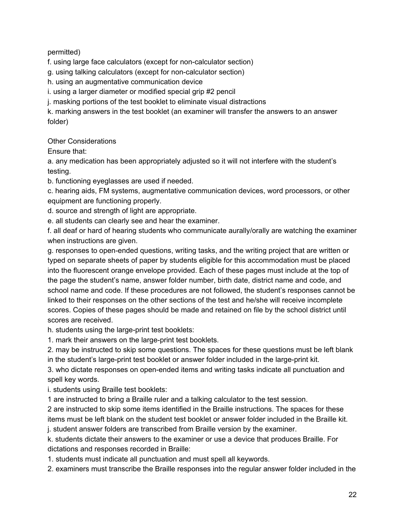permitted)

f. using large face calculators (except for non-calculator section)

g. using talking calculators (except for non-calculator section)

h. using an augmentative communication device

i. using a larger diameter or modified special grip #2 pencil

j. masking portions of the test booklet to eliminate visual distractions

k. marking answers in the test booklet (an examiner will transfer the answers to an answer folder)

Other Considerations

Ensure that:

a. any medication has been appropriately adjusted so it will not interfere with the student's testing.

b. functioning eyeglasses are used if needed.

c. hearing aids, FM systems, augmentative communication devices, word processors, or other equipment are functioning properly.

d. source and strength of light are appropriate.

e. all students can clearly see and hear the examiner.

f. all deaf or hard of hearing students who communicate aurally/orally are watching the examiner when instructions are given.

g. responses to open-ended questions, writing tasks, and the writing project that are written or typed on separate sheets of paper by students eligible for this accommodation must be placed into the fluorescent orange envelope provided. Each of these pages must include at the top of the page the student's name, answer folder number, birth date, district name and code, and school name and code. If these procedures are not followed, the student's responses cannot be linked to their responses on the other sections of the test and he/she will receive incomplete scores. Copies of these pages should be made and retained on file by the school district until scores are received.

h. students using the large-print test booklets:

1. mark their answers on the large-print test booklets.

2. may be instructed to skip some questions. The spaces for these questions must be left blank in the student's large-print test booklet or answer folder included in the large-print kit.

3. who dictate responses on open-ended items and writing tasks indicate all punctuation and spell key words.

i. students using Braille test booklets:

1 are instructed to bring a Braille ruler and a talking calculator to the test session.

2 are instructed to skip some items identified in the Braille instructions. The spaces for these items must be left blank on the student test booklet or answer folder included in the Braille kit. j. student answer folders are transcribed from Braille version by the examiner.

k. students dictate their answers to the examiner or use a device that produces Braille. For dictations and responses recorded in Braille:

1. students must indicate all punctuation and must spell all keywords.

2. examiners must transcribe the Braille responses into the regular answer folder included in the